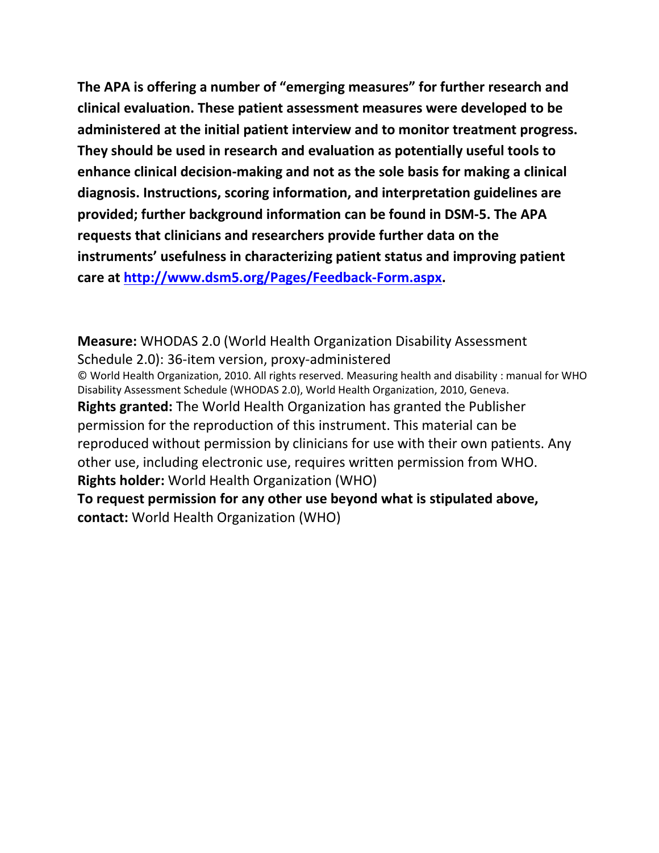**The APA is offering a number of "emerging measures" for further research and clinical evaluation. These patient assessment measures were developed to be administered at the initial patient interview and to monitor treatment progress. They should be used in research and evaluation as potentially useful tools to enhance clinical decision-making and not as the sole basis for making a clinical diagnosis. Instructions, scoring information, and interpretation guidelines are provided; further background information can be found in DSM-5. The APA requests that clinicians and researchers provide further data on the instruments' usefulness in characterizing patient status and improving patient care at [http://www.dsm5.org/Pages/Feedback-Form.aspx.](http://www.dsm5.org/Pages/Feedback-Form.aspx)**

**Measure:** WHODAS 2.0 (World Health Organization Disability Assessment Schedule 2.0): 36-item version, proxy-administered © World Health Organization, 2010. All rights reserved. Measuring health and disability : manual for WHO Disability Assessment Schedule (WHODAS 2.0), World Health Organization, 2010, Geneva. **Rights granted:** The World Health Organization has granted the Publisher permission for the reproduction of this instrument. This material can be reproduced without permission by clinicians for use with their own patients. Any other use, including electronic use, requires written permission from WHO. **Rights holder:** World Health Organization (WHO) **To request permission for any other use beyond what is stipulated above, contact:** World Health Organization (WHO)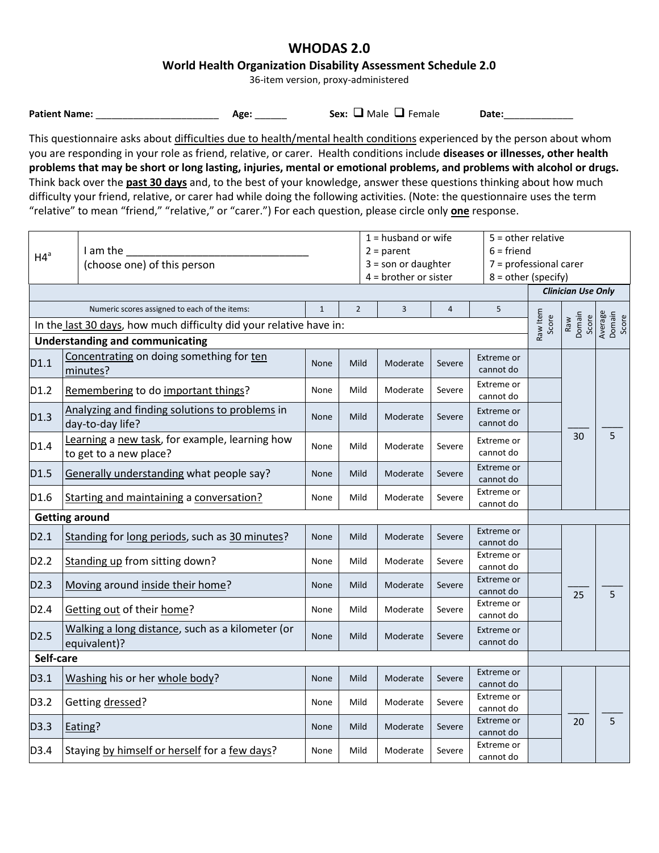# **WHODAS 2.0**

### **World Health Organization Disability Assessment Schedule 2.0**

36-item version, proxy-administered

| <b>Patient Name:</b> |  |
|----------------------|--|
|----------------------|--|

**Patient Name:** \_\_\_\_\_\_\_\_\_\_\_\_\_\_\_\_\_\_\_\_\_\_\_ **Age:** \_\_\_\_\_\_ **Sex:** Male Female **Date:**\_\_\_\_\_\_\_\_\_\_\_\_\_

This questionnaire asks about difficulties due to health/mental health conditions experienced by the person about whom you are responding in your role as friend, relative, or carer. Health conditions include **diseases or illnesses, other health problems that may be short or long lasting, injuries, mental or emotional problems, and problems with alcohol or drugs.** Think back over the **past 30 days** and, to the best of your knowledge, answer these questions thinking about how much difficulty your friend, relative, or carer had while doing the following activities. (Note: the questionnaire uses the term "relative" to mean "friend," "relative," or "carer.") For each question, please circle only **one** response.

| HA <sup>a</sup>  | I am the<br>(choose one) of this person                                  | $1 =$ husband or wife<br>$5 =$ other relative<br>$6 =$ friend<br>$2 = parent$<br>7 = professional carer<br>$3 =$ son or daughter<br>$4 =$ brother or sister<br>$8 = other (specific)$ |                |                |            | <b>Clinician Use Only</b> |                   |                        |                            |
|------------------|--------------------------------------------------------------------------|---------------------------------------------------------------------------------------------------------------------------------------------------------------------------------------|----------------|----------------|------------|---------------------------|-------------------|------------------------|----------------------------|
|                  | Numeric scores assigned to each of the items:                            | $\mathbf{1}$                                                                                                                                                                          | $\overline{2}$ | $\overline{3}$ | $\sqrt{4}$ | 5                         |                   |                        |                            |
|                  | In the last 30 days, how much difficulty did your relative have in:      |                                                                                                                                                                                       |                |                |            |                           | Raw Item<br>Score | Raw<br>Domain<br>Score | Average<br>Domain<br>Score |
|                  | <b>Understanding and communicating</b>                                   |                                                                                                                                                                                       |                |                |            |                           |                   |                        |                            |
| D1.1             | Concentrating on doing something for ten<br>minutes?                     | <b>None</b>                                                                                                                                                                           | Mild           | Moderate       | Severe     | Extreme or<br>cannot do   |                   |                        |                            |
| D1.2             | Remembering to do important things?                                      | None                                                                                                                                                                                  | Mild           | Moderate       | Severe     | Extreme or<br>cannot do   |                   |                        |                            |
| D1.3             | Analyzing and finding solutions to problems in<br>day-to-day life?       | None                                                                                                                                                                                  | Mild           | Moderate       | Severe     | Extreme or<br>cannot do   |                   |                        |                            |
| D1.4             | Learning a new task, for example, learning how<br>to get to a new place? | None                                                                                                                                                                                  | Mild           | Moderate       | Severe     | Extreme or<br>cannot do   |                   | 30                     | 5                          |
| D1.5             | Generally understanding what people say?                                 | <b>None</b>                                                                                                                                                                           | Mild           | Moderate       | Severe     | Extreme or<br>cannot do   |                   |                        |                            |
| D1.6             | Starting and maintaining a conversation?                                 | None                                                                                                                                                                                  | Mild           | Moderate       | Severe     | Extreme or<br>cannot do   |                   |                        |                            |
|                  | <b>Getting around</b>                                                    |                                                                                                                                                                                       |                |                |            |                           |                   |                        |                            |
| D2.1             | Standing for long periods, such as 30 minutes?                           | None                                                                                                                                                                                  | Mild           | Moderate       | Severe     | Extreme or<br>cannot do   |                   |                        |                            |
| D2.2             | Standing up from sitting down?                                           | None                                                                                                                                                                                  | Mild           | Moderate       | Severe     | Extreme or<br>cannot do   |                   |                        |                            |
| D <sub>2.3</sub> | Moving around inside their home?                                         | None                                                                                                                                                                                  | Mild           | Moderate       | Severe     | Extreme or<br>cannot do   |                   | 25                     | 5                          |
| D <sub>2.4</sub> | Getting out of their home?                                               | None                                                                                                                                                                                  | Mild           | Moderate       | Severe     | Extreme or<br>cannot do   |                   |                        |                            |
| D <sub>2.5</sub> | Walking a long distance, such as a kilometer (or<br>equivalent)?         | None                                                                                                                                                                                  | Mild           | Moderate       | Severe     | Extreme or<br>cannot do   |                   |                        |                            |
| Self-care        |                                                                          |                                                                                                                                                                                       |                |                |            |                           |                   |                        |                            |
| D3.1             | Washing his or her whole body?                                           | <b>None</b>                                                                                                                                                                           | Mild           | Moderate       | Severe     | Extreme or<br>cannot do   |                   |                        |                            |
| D3.2             | Getting dressed?                                                         | None                                                                                                                                                                                  | Mild           | Moderate       | Severe     | Extreme or<br>cannot do   |                   |                        |                            |
| D3.3             | Eating?                                                                  | None                                                                                                                                                                                  | Mild           | Moderate       | Severe     | Extreme or<br>cannot do   |                   | 20                     | $5\phantom{.0}$            |
| D3.4             | Staying by himself or herself for a few days?                            | None                                                                                                                                                                                  | Mild           | Moderate       | Severe     | Extreme or<br>cannot do   |                   |                        |                            |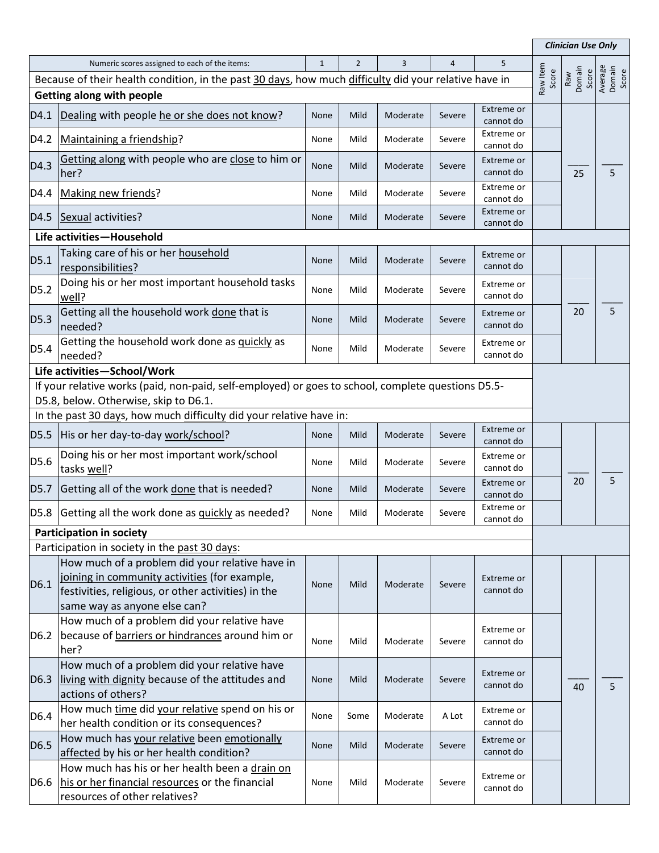|                                                                                                       |                                                                                                                                                                                         |              |                |          |        |                         |                   | <b>Clinician Use Only</b> |                            |  |  |
|-------------------------------------------------------------------------------------------------------|-----------------------------------------------------------------------------------------------------------------------------------------------------------------------------------------|--------------|----------------|----------|--------|-------------------------|-------------------|---------------------------|----------------------------|--|--|
|                                                                                                       | Numeric scores assigned to each of the items:                                                                                                                                           | $\mathbf{1}$ | $\overline{2}$ | 3        | 4      | 5                       | Raw Item<br>Score |                           |                            |  |  |
| Because of their health condition, in the past 30 days, how much difficulty did your relative have in |                                                                                                                                                                                         |              |                |          |        |                         |                   | Raw<br>Domain<br>Score    | Average<br>Domain<br>Score |  |  |
| <b>Getting along with people</b>                                                                      |                                                                                                                                                                                         |              |                |          |        |                         |                   |                           |                            |  |  |
| D4.1                                                                                                  | Dealing with people he or she does not know?                                                                                                                                            | None         | Mild           | Moderate | Severe | Extreme or<br>cannot do |                   |                           |                            |  |  |
| D4.2                                                                                                  | Maintaining a friendship?                                                                                                                                                               | None         | Mild           | Moderate | Severe | Extreme or              |                   |                           |                            |  |  |
|                                                                                                       |                                                                                                                                                                                         |              |                |          |        | cannot do               |                   |                           |                            |  |  |
| D4.3                                                                                                  | Getting along with people who are close to him or<br>her?                                                                                                                               | None         | Mild           | Moderate | Severe | Extreme or<br>cannot do |                   | 25                        | 5                          |  |  |
| D4.4                                                                                                  | Making new friends?                                                                                                                                                                     | None         | Mild           | Moderate | Severe | Extreme or<br>cannot do |                   |                           |                            |  |  |
| D4.5                                                                                                  | Sexual activities?                                                                                                                                                                      | None         | Mild           | Moderate | Severe | Extreme or<br>cannot do |                   |                           |                            |  |  |
|                                                                                                       | Life activities-Household                                                                                                                                                               |              |                |          |        |                         |                   |                           |                            |  |  |
| D5.1                                                                                                  | Taking care of his or her household<br>responsibilities?                                                                                                                                | None         | Mild           | Moderate | Severe | Extreme or<br>cannot do |                   |                           |                            |  |  |
| D5.2                                                                                                  | Doing his or her most important household tasks<br>well?                                                                                                                                | None         | Mild           | Moderate | Severe | Extreme or<br>cannot do |                   |                           |                            |  |  |
| D5.3                                                                                                  | Getting all the household work done that is<br>needed?                                                                                                                                  | None         | Mild           | Moderate | Severe | Extreme or<br>cannot do |                   | 20                        | 5                          |  |  |
| D5.4                                                                                                  | Getting the household work done as quickly as<br>needed?                                                                                                                                | None         | Mild           | Moderate | Severe | Extreme or<br>cannot do |                   |                           |                            |  |  |
|                                                                                                       | Life activities-School/Work                                                                                                                                                             |              |                |          |        |                         |                   |                           |                            |  |  |
|                                                                                                       | If your relative works (paid, non-paid, self-employed) or goes to school, complete questions D5.5-                                                                                      |              |                |          |        |                         |                   |                           |                            |  |  |
|                                                                                                       | D5.8, below. Otherwise, skip to D6.1.                                                                                                                                                   |              |                |          |        |                         |                   |                           |                            |  |  |
|                                                                                                       | In the past 30 days, how much difficulty did your relative have in:                                                                                                                     |              |                |          |        |                         |                   |                           |                            |  |  |
| D5.5                                                                                                  | His or her day-to-day work/school?                                                                                                                                                      | None         | Mild           | Moderate | Severe | Extreme or<br>cannot do |                   |                           |                            |  |  |
| D5.6                                                                                                  | Doing his or her most important work/school<br>tasks well?                                                                                                                              | None         | Mild           | Moderate | Severe | Extreme or<br>cannot do |                   |                           |                            |  |  |
| D5.7                                                                                                  | Getting all of the work done that is needed?                                                                                                                                            | <b>None</b>  | Mild           | Moderate | Severe | Extreme or<br>cannot do |                   | 20                        | 5                          |  |  |
| D <sub>5.8</sub>                                                                                      | Getting all the work done as quickly as needed?                                                                                                                                         | None         | Mild           | Moderate | Severe | Extreme or<br>cannot do |                   |                           |                            |  |  |
|                                                                                                       | <b>Participation in society</b>                                                                                                                                                         |              |                |          |        |                         |                   |                           |                            |  |  |
|                                                                                                       | Participation in society in the past 30 days:                                                                                                                                           |              |                |          |        |                         |                   |                           |                            |  |  |
| D6.1                                                                                                  | How much of a problem did your relative have in<br>joining in community activities (for example,<br>festivities, religious, or other activities) in the<br>same way as anyone else can? | <b>None</b>  | Mild           | Moderate | Severe | Extreme or<br>cannot do |                   |                           |                            |  |  |
| D <sub>6.2</sub>                                                                                      | How much of a problem did your relative have<br>because of <b>barriers</b> or hindrances around him or<br>her?                                                                          | None         | Mild           | Moderate | Severe | Extreme or<br>cannot do |                   |                           |                            |  |  |
| D <sub>6.3</sub>                                                                                      | How much of a problem did your relative have<br>living with dignity because of the attitudes and<br>actions of others?                                                                  | None         | Mild           | Moderate | Severe | Extreme or<br>cannot do |                   | 40                        | 5                          |  |  |
| D6.4                                                                                                  | How much time did your relative spend on his or<br>her health condition or its consequences?                                                                                            | None         | Some           | Moderate | A Lot  | Extreme or<br>cannot do |                   |                           |                            |  |  |
| D6.5                                                                                                  | How much has your relative been emotionally<br>affected by his or her health condition?                                                                                                 | None         | Mild           | Moderate | Severe | Extreme or<br>cannot do |                   |                           |                            |  |  |
| D6.6                                                                                                  | How much has his or her health been a drain on<br>his or her financial resources or the financial<br>resources of other relatives?                                                      | None         | Mild           | Moderate | Severe | Extreme or<br>cannot do |                   |                           |                            |  |  |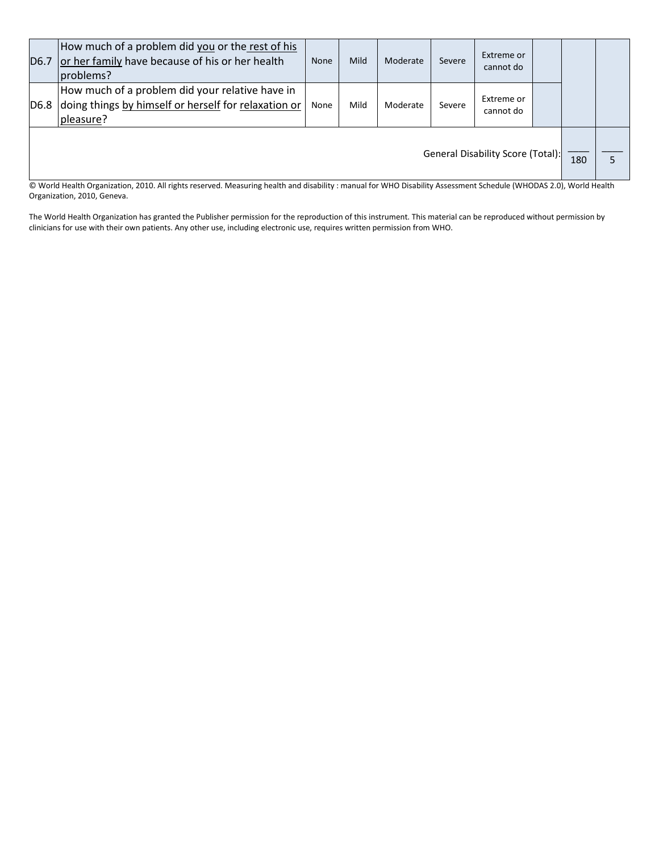| <b>D6.7</b>                                                                                                                                                                                           | How much of a problem did you or the rest of his<br>or her family have because of his or her health<br>problems?     | None | Mild | Moderate | Severe | Extreme or<br>cannot do |  |  |  |
|-------------------------------------------------------------------------------------------------------------------------------------------------------------------------------------------------------|----------------------------------------------------------------------------------------------------------------------|------|------|----------|--------|-------------------------|--|--|--|
| D <sub>6.8</sub>                                                                                                                                                                                      | How much of a problem did your relative have in<br>doing things by himself or herself for relaxation or<br>pleasure? | None | Mild | Moderate | Severe | Extreme or<br>cannot do |  |  |  |
| General Disability Score (Total):<br>Morld Health Organization, 2010, All rights resenyed, Measuring health and disability : manual for WHO Disability Assessment Schedule (WHODAS 2.0), World Health |                                                                                                                      |      |      |          |        |                         |  |  |  |

© World Health Organization, 2010. All rights reserved. Measuring health and disability : manual for WHO Disability Assessment Schedule (WHODAS 2.0), World Health Organization, 2010, Geneva.

The World Health Organization has granted the Publisher permission for the reproduction of this instrument. This material can be reproduced without permission by clinicians for use with their own patients. Any other use, including electronic use, requires written permission from WHO.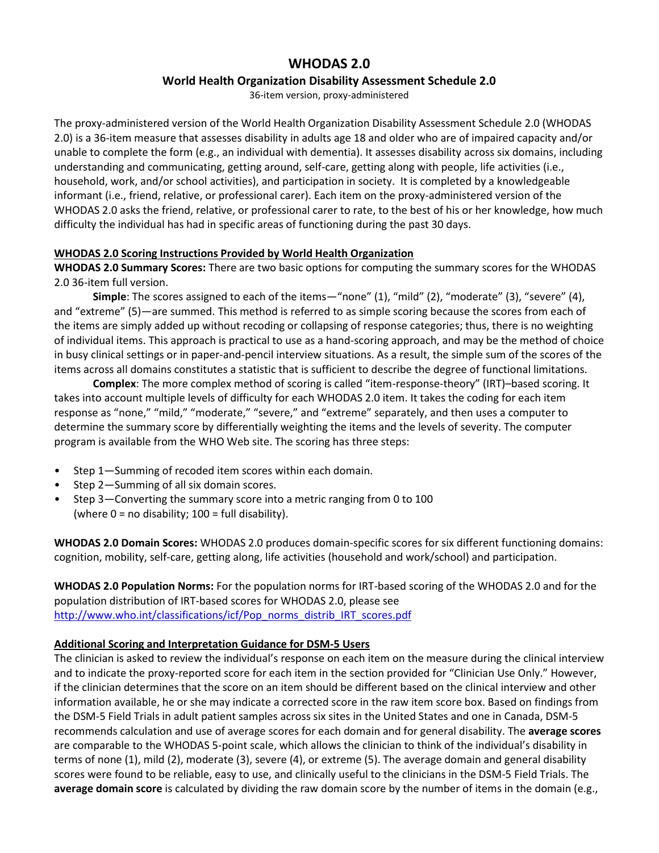# **WHODAS 2.0**

### **World Health Organization Disability Assessment Schedule 2.0**

36-item version, proxy-administered

The proxy-administered version of the World Health Organization Disability Assessment Schedule 2.0 (WHODAS 2.0) is a 36-item measure that assesses disability in adults age 18 and older who are of impaired capacity and/or unable to complete the form (e.g., an individual with dementia). It assesses disability across six domains, including understanding and communicating, getting around, self-care, getting along with people, life activities (i.e., household, work, and/or school activities), and participation in society. It is completed by a knowledgeable informant (i.e., friend, relative, or professional carer). Each item on the proxy-administered version of the WHODAS 2.0 asks the friend, relative, or professional carer to rate, to the best of his or her knowledge, how much difficulty the individual has had in specific areas of functioning during the past 30 days.

### **WHODAS 2.0 Scoring Instructions Provided by World Health Organization**

**WHODAS 2.0 Summary Scores:** There are two basic options for computing the summary scores for the WHODAS 2.0 36-item full version.

**Simple**: The scores assigned to each of the items—"none" (1), "mild" (2), "moderate" (3), "severe" (4), and "extreme" (5)—are summed. This method is referred to as simple scoring because the scores from each of the items are simply added up without recoding or collapsing of response categories; thus, there is no weighting of individual items. This approach is practical to use as a hand-scoring approach, and may be the method of choice in busy clinical settings or in paper-and-pencil interview situations. As a result, the simple sum of the scores of the items across all domains constitutes a statistic that is sufficient to describe the degree of functional limitations.

**Complex**: The more complex method of scoring is called "item-response-theory" (IRT)–based scoring. It takes into account multiple levels of difficulty for each WHODAS 2.0 item. It takes the coding for each item response as "none," "mild," "moderate," "severe," and "extreme" separately, and then uses a computer to determine the summary score by differentially weighting the items and the levels of severity. The computer program is available from the WHO Web site. The scoring has three steps:

- Step 1—Summing of recoded item scores within each domain.
- Step 2—Summing of all six domain scores.
- Step 3—Converting the summary score into a metric ranging from 0 to 100 (where  $0 = no$  disability;  $100 = full$  disability).

**WHODAS 2.0 Domain Scores:** WHODAS 2.0 produces domain-specific scores for six different functioning domains: cognition, mobility, self-care, getting along, life activities (household and work/school) and participation.

**WHODAS 2.0 Population Norms:** For the population norms for IRT-based scoring of the WHODAS 2.0 and for the population distribution of IRT-based scores for WHODAS 2.0, please see [http://www.who.int/classifications/icf/Pop\\_norms\\_distrib\\_IRT\\_scores.pdf](http://www.who.int/classifications/icf/Pop_norms_distrib_IRT_scores.pdf)

## **Additional Scoring and Interpretation Guidance for DSM-5 Users**

The clinician is asked to review the individual's response on each item on the measure during the clinical interview and to indicate the proxy-reported score for each item in the section provided for "Clinician Use Only." However, if the clinician determines that the score on an item should be different based on the clinical interview and other information available, he or she may indicate a corrected score in the raw item score box. Based on findings from the DSM-5 Field Trials in adult patient samples across six sites in the United States and one in Canada, DSM-5 recommends calculation and use of average scores for each domain and for general disability. The **average scores** are comparable to the WHODAS 5-point scale, which allows the clinician to think of the individual's disability in terms of none (1), mild (2), moderate (3), severe (4), or extreme (5). The average domain and general disability scores were found to be reliable, easy to use, and clinically useful to the clinicians in the DSM-5 Field Trials. The **average domain score** is calculated by dividing the raw domain score by the number of items in the domain (e.g.,